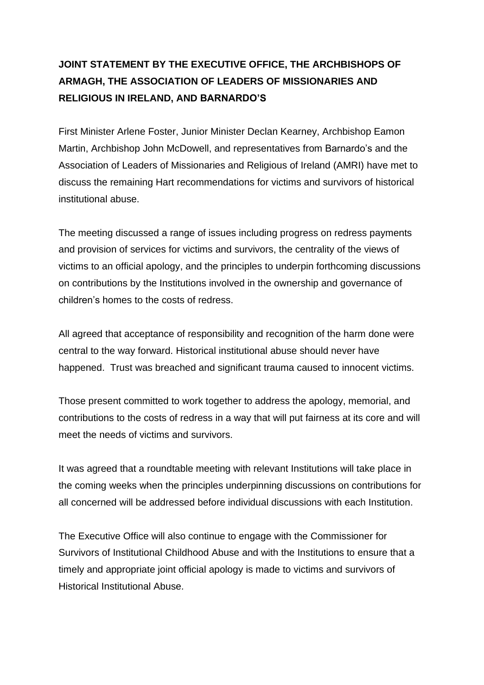## **JOINT STATEMENT BY THE EXECUTIVE OFFICE, THE ARCHBISHOPS OF ARMAGH, THE ASSOCIATION OF LEADERS OF MISSIONARIES AND RELIGIOUS IN IRELAND, AND BARNARDO'S**

First Minister Arlene Foster, Junior Minister Declan Kearney, Archbishop Eamon Martin, Archbishop John McDowell, and representatives from Barnardo's and the Association of Leaders of Missionaries and Religious of Ireland (AMRI) have met to discuss the remaining Hart recommendations for victims and survivors of historical institutional abuse.

The meeting discussed a range of issues including progress on redress payments and provision of services for victims and survivors, the centrality of the views of victims to an official apology, and the principles to underpin forthcoming discussions on contributions by the Institutions involved in the ownership and governance of children's homes to the costs of redress.

All agreed that acceptance of responsibility and recognition of the harm done were central to the way forward. Historical institutional abuse should never have happened. Trust was breached and significant trauma caused to innocent victims.

Those present committed to work together to address the apology, memorial, and contributions to the costs of redress in a way that will put fairness at its core and will meet the needs of victims and survivors.

It was agreed that a roundtable meeting with relevant Institutions will take place in the coming weeks when the principles underpinning discussions on contributions for all concerned will be addressed before individual discussions with each Institution.

The Executive Office will also continue to engage with the Commissioner for Survivors of Institutional Childhood Abuse and with the Institutions to ensure that a timely and appropriate joint official apology is made to victims and survivors of Historical Institutional Abuse.